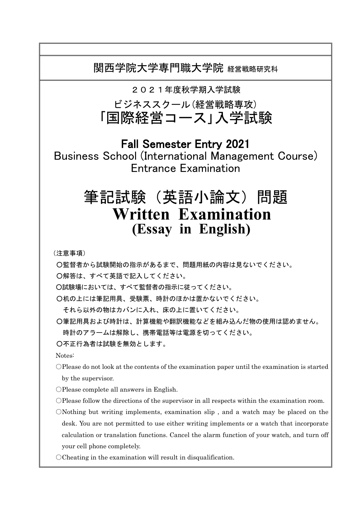関西学院大学専門職大学院 経営戦略研究科

2021年度秋学期入学試験

ビジネススクール(経営戦略専攻) 「国際経営コース」入学試験

Fall Semester Entry 2021 Business School (International Management Course) Entrance Examination

# 筆記試験(英語小論文)問題 **Written Examination (Essay in English)**

(注意事項)

○監督者から試験開始の指示があるまで、問題用紙の内容は見ないでください。

○解答は、すべて英語で記入してください。

○試験場においては、すべて監督者の指示に従ってください。

○机の上には筆記用具、受験票、時計のほかは置かないでください。

それら以外の物はカバンに入れ、床の上に置いてください。

○筆記用具および時計は、計算機能や翻訳機能などを組み込んだ物の使用は認めません。

時計のアラームは解除し、携帯電話等は電源を切ってください。

○不正行為者は試験を無効とします。

Notes:

○Please do not look at the contents of the examination paper until the examination is started by the supervisor.

- ○Please complete all answers in English.
- ○Please follow the directions of the supervisor in all respects within the examination room.
- ○Nothing but writing implements, examination slip , and a watch may be placed on the desk. You are not permitted to use either writing implements or a watch that incorporate calculation or translation functions. Cancel the alarm function of your watch, and turn off your cell phone completely.

OCheating in the examination will result in disqualification.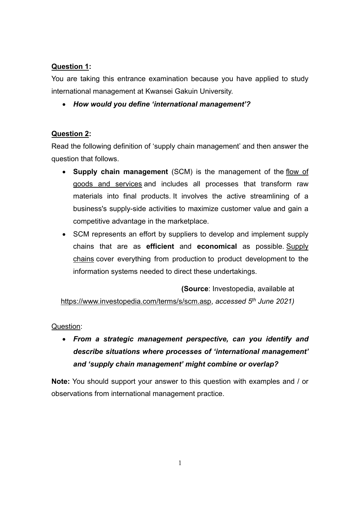## **Question 1:**

You are taking this entrance examination because you have applied to study international management at Kwansei Gakuin University.

• *How would you define 'international management'?*

## **Question 2:**

Read the following definition of 'supply chain management' and then answer the question that follows.

- **Supply chain management** (SCM) is the management of the [flow of](https://www.investopedia.com/terms/h/hifo.asp)  [goods and services](https://www.investopedia.com/terms/h/hifo.asp) and includes all processes that transform raw materials into final products. It involves the active streamlining of a business's supply-side activities to maximize customer value and gain a competitive advantage in the marketplace.
- SCM represents an effort by suppliers to develop and implement supply chains that are as **efficient** and **economical** as possible. [Supply](https://www.investopedia.com/terms/s/supplychain.asp)  [chains](https://www.investopedia.com/terms/s/supplychain.asp) cover everything from production to product development to the information systems needed to direct these undertakings.

**(Source**: Investopedia, available at [https://www.investopedia.com/terms/s/scm.asp,](https://www.investopedia.com/terms/s/scm.asp) *accessed 5th June 2021)*

Question:

• *From a strategic management perspective, can you identify and describe situations where processes of 'international management' and 'supply chain management' might combine or overlap?* 

**Note:** You should support your answer to this question with examples and / or observations from international management practice.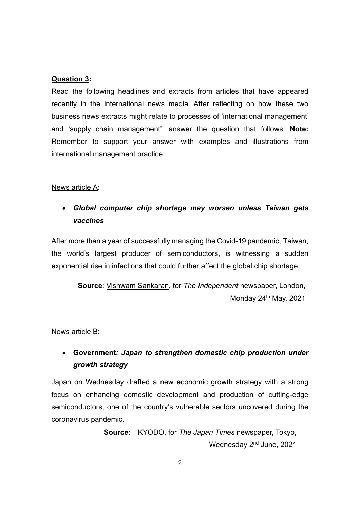## **Question 3:**

Read the following headlines and extracts from articles that have appeared recently in the international news media. After reflecting on how these two business news extracts might relate to processes of 'international management' and 'supply chain management', answer the question that follows. **Note:** Remember to support your answer with examples and illustrations from international management practice.

## News article A**:**

## • *Global computer chip shortage may worsen unless Taiwan gets vaccines*

After more than a year of successfully managing the Covid-19 pandemic, Taiwan, the world's largest producer of semiconductors, is witnessing a sudden exponential rise in infections that could further affect the global chip shortage.

> **Source**: [Vishwam Sankaran,](https://www.independent.co.uk/author/vishwam-sankaran) for *The Independent* newspaper, London, Monday 24<sup>th</sup> May, 2021

#### News article B**:**

# • **Government***: Japan to strengthen domestic chip production under growth strategy*

Japan on Wednesday drafted a new economic growth strategy with a strong focus on enhancing domestic development and production of cutting-edge semiconductors, one of the country's vulnerable sectors uncovered during the coronavirus pandemic.

> **Source:** KYODO, for *The Japan Times* newspaper, Tokyo, Wednesday 2<sup>nd</sup> June, 2021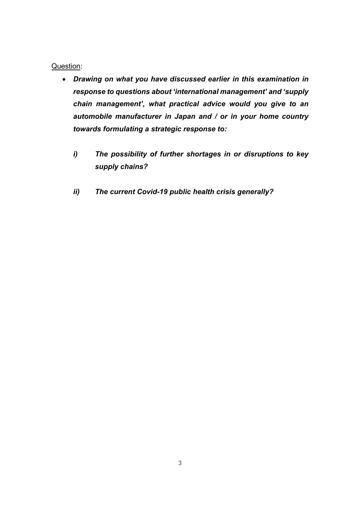## Question:

- *Drawing on what you have discussed earlier in this examination in response to questions about 'international management' and 'supply chain management', what practical advice would you give to an automobile manufacturer in Japan and / or in your home country towards formulating a strategic response to:*
	- *i) The possibility of further shortages in or disruptions to key supply chains?*
	- *ii) The current Covid-19 public health crisis generally?*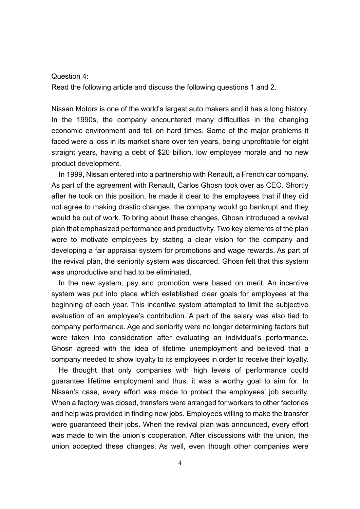#### Question 4:

Read the following article and discuss the following questions 1 and 2.

Nissan Motors is one of the world's largest auto makers and it has a long history. In the 1990s, the company encountered many difficulties in the changing economic environment and fell on hard times. Some of the major problems it faced were a loss in its market share over ten years, being unprofitable for eight straight years, having a debt of \$20 billion, low employee morale and no new product development.

In 1999, Nissan entered into a partnership with Renault, a French car company. As part of the agreement with Renault, Carlos Ghosn took over as CEO. Shortly after he took on this position, he made it clear to the employees that if they did not agree to making drastic changes, the company would go bankrupt and they would be out of work. To bring about these changes, Ghosn introduced a revival plan that emphasized performance and productivity. Two key elements of the plan were to motivate employees by stating a clear vision for the company and developing a fair appraisal system for promotions and wage rewards. As part of the revival plan, the seniority system was discarded. Ghosn felt that this system was unproductive and had to be eliminated.

In the new system, pay and promotion were based on merit. An incentive system was put into place which established clear goals for employees at the beginning of each year. This incentive system attempted to limit the subjective evaluation of an employee's contribution. A part of the salary was also tied to company performance. Age and seniority were no longer determining factors but were taken into consideration after evaluating an individual's performance. Ghosn agreed with the idea of lifetime unemployment and believed that a company needed to show loyalty to its employees in order to receive their loyalty.

He thought that only companies with high levels of performance could guarantee lifetime employment and thus, it was a worthy goal to aim for. In Nissan's case, every effort was made to protect the employees' job security. When a factory was closed, transfers were arranged for workers to other factories and help was provided in finding new jobs. Employees willing to make the transfer were guaranteed their jobs. When the revival plan was announced, every effort was made to win the union's cooperation. After discussions with the union, the union accepted these changes. As well, even though other companies were